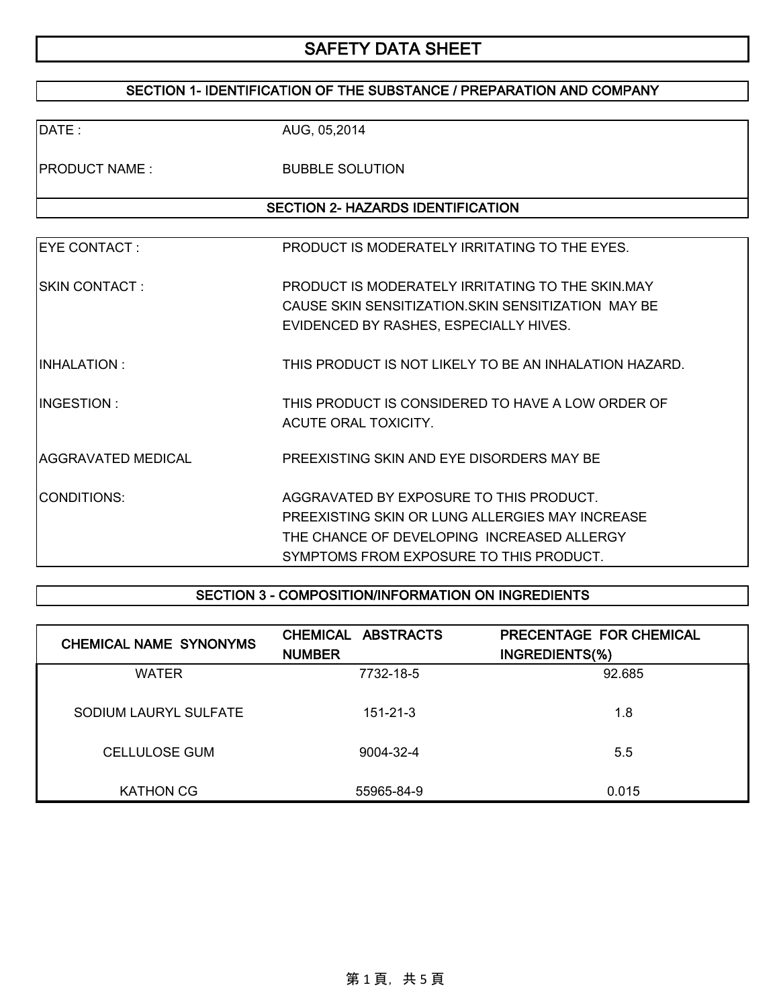### SECTION 1- IDENTIFICATION OF THE SUBSTANCE / PREPARATION AND COMPANY

| DATE:                                    | AUG, 05,2014                                                              |  |  |  |
|------------------------------------------|---------------------------------------------------------------------------|--|--|--|
| <b>PRODUCT NAME:</b>                     | <b>BUBBLE SOLUTION</b>                                                    |  |  |  |
| <b>SECTION 2- HAZARDS IDENTIFICATION</b> |                                                                           |  |  |  |
|                                          |                                                                           |  |  |  |
| <b>EYE CONTACT:</b>                      | PRODUCT IS MODERATELY IRRITATING TO THE EYES.                             |  |  |  |
| ISKIN CONTACT :                          | PRODUCT IS MODERATELY IRRITATING TO THE SKIN, MAY                         |  |  |  |
|                                          | CAUSE SKIN SENSITIZATION. SKIN SENSITIZATION MAY BE                       |  |  |  |
|                                          | EVIDENCED BY RASHES, ESPECIALLY HIVES.                                    |  |  |  |
| IINHALATION :                            | THIS PRODUCT IS NOT LIKELY TO BE AN INHALATION HAZARD.                    |  |  |  |
| IINGESTION :                             | THIS PRODUCT IS CONSIDERED TO HAVE A LOW ORDER OF<br>ACUTE ORAL TOXICITY. |  |  |  |
| AGGRAVATED MEDICAL                       | PREEXISTING SKIN AND EYE DISORDERS MAY BE                                 |  |  |  |
| CONDITIONS:                              | AGGRAVATED BY EXPOSURE TO THIS PRODUCT.                                   |  |  |  |
|                                          | PREEXISTING SKIN OR LUNG ALLERGIES MAY INCREASE                           |  |  |  |
|                                          | THE CHANCE OF DEVELOPING INCREASED ALLERGY                                |  |  |  |
|                                          | SYMPTOMS FROM EXPOSURE TO THIS PRODUCT.                                   |  |  |  |

### SECTION 3 - COMPOSITION/INFORMATION ON INGREDIENTS

| <b>CHEMICAL NAME SYNONYMS</b> | CHEMICAL ABSTRACTS<br><b>NUMBER</b> | PRECENTAGE FOR CHEMICAL<br>INGREDIENTS(%) |
|-------------------------------|-------------------------------------|-------------------------------------------|
| <b>WATER</b>                  | 7732-18-5                           | 92.685                                    |
| SODIUM LAURYL SULFATE         | $151 - 21 - 3$                      | 1.8                                       |
| <b>CELLULOSE GUM</b>          | 9004-32-4                           | 5.5                                       |
| <b>KATHON CG</b>              | 55965-84-9                          | 0.015                                     |

第1頁,共5頁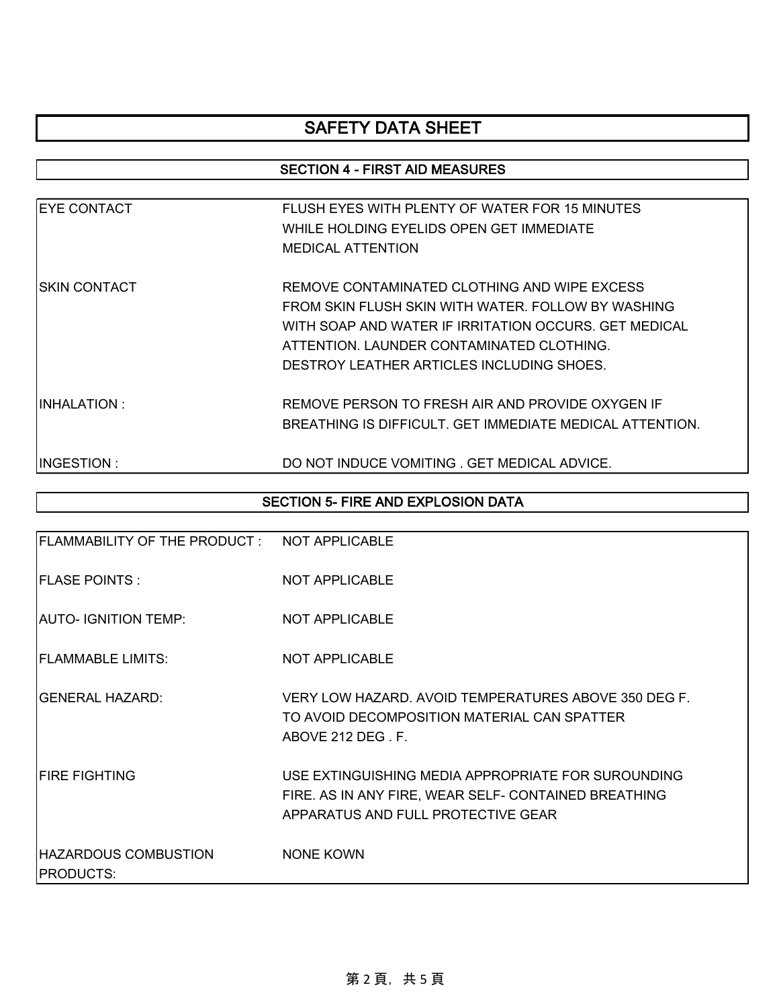### SECTION 4 - FIRST AID MEASURES

| <b>EYE CONTACT</b> | FLUSH EYES WITH PLENTY OF WATER FOR 15 MINUTES           |
|--------------------|----------------------------------------------------------|
|                    | WHILE HOLDING EYELIDS OPEN GET IMMEDIATE                 |
|                    | <b>MEDICAL ATTENTION</b>                                 |
| ISKIN CONTACT      | REMOVE CONTAMINATED CLOTHING AND WIPE EXCESS             |
|                    | FROM SKIN FLUSH SKIN WITH WATER. FOLLOW BY WASHING       |
|                    | WITH SOAP AND WATER IF IRRITATION OCCURS. GET MEDICAL    |
|                    | ATTENTION. LAUNDER CONTAMINATED CLOTHING.                |
|                    | DESTROY LEATHER ARTICLES INCLUDING SHOES.                |
| IINHALATION :      | REMOVE PERSON TO FRESH AIR AND PROVIDE OXYGEN IF         |
|                    | BREATHING IS DIFFICULT. GET IMMEDIATE MEDICAL ATTENTION. |
| IINGESTION :       | DO NOT INDUCE VOMITING . GET MEDICAL ADVICE.             |

### SECTION 5- FIRE AND EXPLOSION DATA

| FLAMMABILITY OF THE PRODUCT: NOT APPLICABLE |                                                                                                                                                  |
|---------------------------------------------|--------------------------------------------------------------------------------------------------------------------------------------------------|
| <b>FLASE POINTS:</b>                        | <b>NOT APPLICABLE</b>                                                                                                                            |
| AUTO- IGNITION TEMP:                        | <b>NOT APPLICABLE</b>                                                                                                                            |
| <b>FLAMMABLE LIMITS:</b>                    | <b>NOT APPLICABLE</b>                                                                                                                            |
| IGENERAL HAZARD:                            | VERY LOW HAZARD, AVOID TEMPERATURES ABOVE 350 DEG F.<br>TO AVOID DECOMPOSITION MATERIAL CAN SPATTER<br>ABOVE 212 DEG. F.                         |
| <b>FIRE FIGHTING</b>                        | USE EXTINGUISHING MEDIA APPROPRIATE FOR SUROUNDING<br>FIRE. AS IN ANY FIRE, WEAR SELF- CONTAINED BREATHING<br>APPARATUS AND FULL PROTECTIVE GEAR |
| HAZARDOUS COMBUSTION<br><b>PRODUCTS:</b>    | <b>NONE KOWN</b>                                                                                                                                 |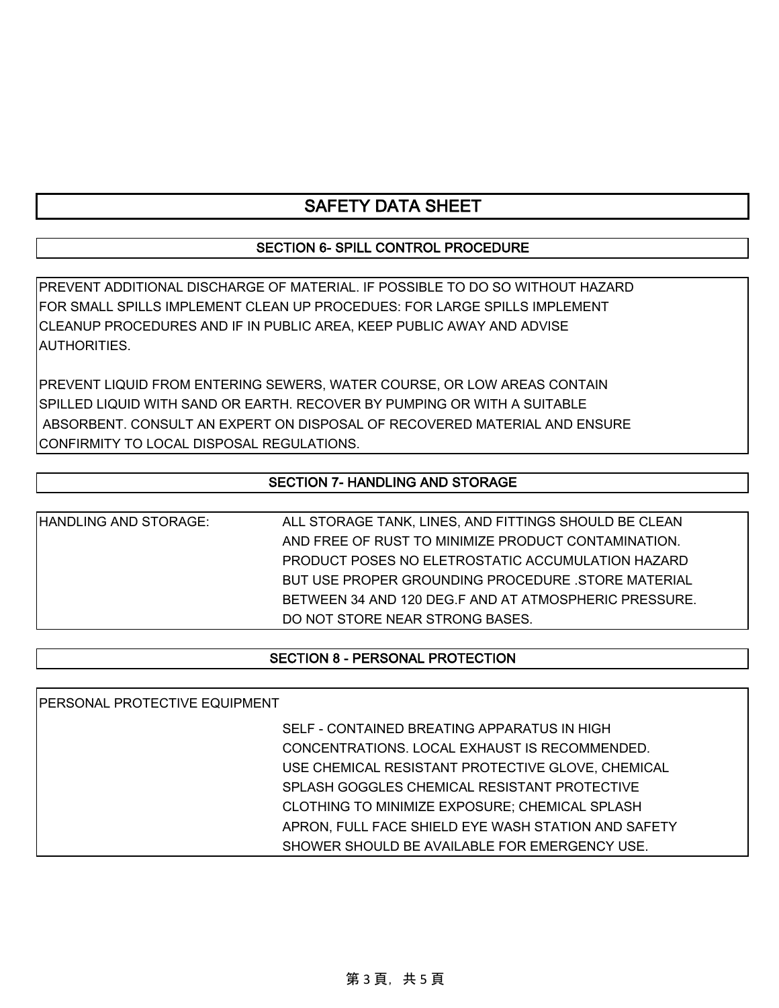### SECTION 6- SPILL CONTROL PROCEDURE

PREVENT ADDITIONAL DISCHARGE OF MATERIAL. IF POSSIBLE TO DO SO WITHOUT HAZARD FOR SMALL SPILLS IMPLEMENT CLEAN UP PROCEDUES: FOR LARGE SPILLS IMPLEMENT CLEANUP PROCEDURES AND IF IN PUBLIC AREA, KEEP PUBLIC AWAY AND ADVISE **AUTHORITIES** 

PREVENT LIQUID FROM ENTERING SEWERS, WATER COURSE, OR LOW AREAS CONTAIN SPILLED LIQUID WITH SAND OR EARTH. RECOVER BY PUMPING OR WITH A SUITABLE ABSORBENT. CONSULT AN EXPERT ON DISPOSAL OF RECOVERED MATERIAL AND ENSURE CONFIRMITY TO LOCAL DISPOSAL REGULATIONS.

#### SECTION 7- HANDLING AND STORAGE

HANDLING AND STORAGE: ALL STORAGE TANK, LINES, AND FITTINGS SHOULD BE CLEAN AND FREE OF RUST TO MINIMIZE PRODUCT CONTAMINATION. PRODUCT POSES NO ELETROSTATIC ACCUMULATION HAZARD BUT USE PROPER GROUNDING PROCEDURE .STORE MATERIAL BETWEEN 34 AND 120 DEG.F AND AT ATMOSPHERIC PRESSURE. DO NOT STORE NEAR STRONG BASES.

#### SECTION 8 - PERSONAL PROTECTION

PERSONAL PROTECTIVE EQUIPMENT

SELF - CONTAINED BREATING APPARATUS IN HIGH CONCENTRATIONS. LOCAL EXHAUST IS RECOMMENDED. USE CHEMICAL RESISTANT PROTECTIVE GLOVE, CHEMICAL SPLASH GOGGLES CHEMICAL RESISTANT PROTECTIVE CLOTHING TO MINIMIZE EXPOSURE; CHEMICAL SPLASH APRON, FULL FACE SHIELD EYE WASH STATION AND SAFETY SHOWER SHOULD BE AVAILABLE FOR EMERGENCY USE.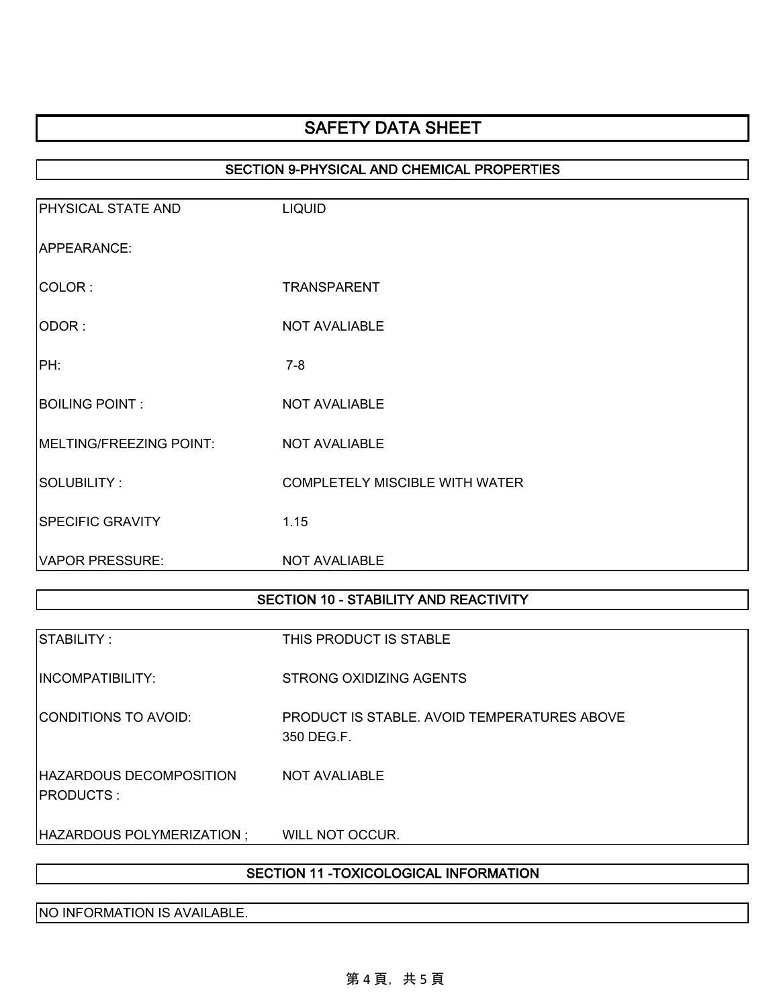### SECTION 9-PHYSICAL AND CHEMICAL PROPERTIES

| <b>PHYSICAL STATE AND</b> | <b>LIQUID</b>                         |
|---------------------------|---------------------------------------|
| APPEARANCE:               |                                       |
| COLOR:                    | <b>TRANSPARENT</b>                    |
| ODOR:                     | <b>NOT AVALIABLE</b>                  |
| PH:                       | $7 - 8$                               |
| <b>BOILING POINT:</b>     | <b>NOT AVALIABLE</b>                  |
| MELTING/FREEZING POINT:   | <b>NOT AVALIABLE</b>                  |
| SOLUBILITY:               | <b>COMPLETELY MISCIBLE WITH WATER</b> |
| <b>SPECIFIC GRAVITY</b>   | 1.15                                  |
| <b>VAPOR PRESSURE:</b>    | <b>NOT AVALIABLE</b>                  |

### SECTION 10 - STABILITY AND REACTIVITY

| <b>ISTABILITY :</b>                                 | THIS PRODUCT IS STABLE                                           |
|-----------------------------------------------------|------------------------------------------------------------------|
| <b>INCOMPATIBILITY:</b>                             | STRONG OXIDIZING AGENTS                                          |
| ICONDITIONS TO AVOID:                               | <b>PRODUCT IS STABLE. AVOID TEMPERATURES ABOVE</b><br>350 DEG.F. |
| <b>HAZARDOUS DECOMPOSITION</b><br><b>IPRODUCTS:</b> | NOT AVALIABLE                                                    |
| HAZARDOUS POLYMERIZATION ;                          | WILL NOT OCCUR.                                                  |

## SECTION 11 -TOXICOLOGICAL INFORMATION

NO INFORMATION IS AVAILABLE.